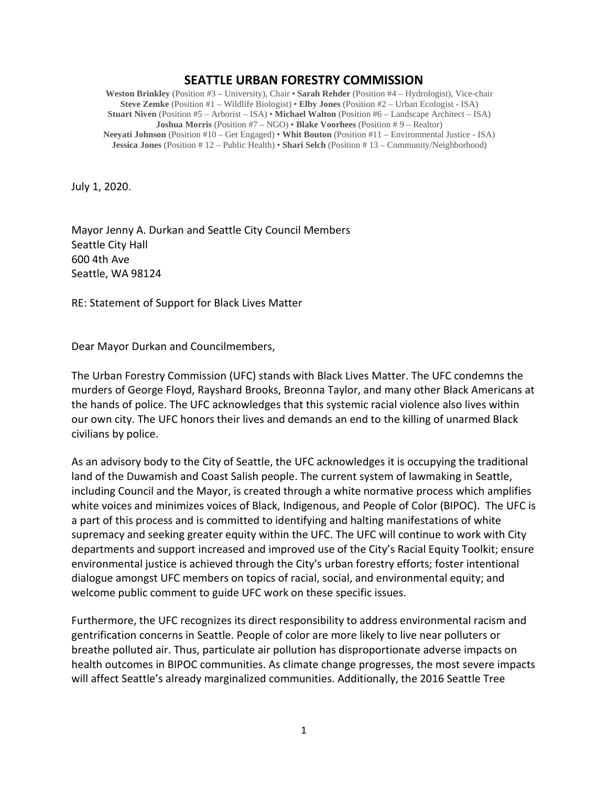## **SEATTLE URBAN FORESTRY COMMISSION**

**Weston Brinkley** (Position #3 – University), Chair • **Sarah Rehder** (Position #4 – Hydrologist), Vice-chair **Steve Zemke** (Position #1 – Wildlife Biologist) • **Elby Jones** (Position #2 – Urban Ecologist - ISA) **Stuart Niven** (Position #5 – Arborist – ISA) • **Michael Walton** (Position #6 – Landscape Architect – ISA) **Joshua Morris** (Position #7 – NGO) • **Blake Voorhees** (Position # 9 – Realtor) **Neeyati Johnson** (Position #10 – Get Engaged) • **Whit Bouton** (Position #11 – Environmental Justice - ISA) **Jessica Jones** (Position # 12 – Public Health) • **Shari Selch** (Position # 13 – Community/Neighborhood)

July 1, 2020.

Mayor Jenny A. Durkan and Seattle City Council Members Seattle City Hall 600 4th Ave Seattle, WA 98124

RE: Statement of Support for Black Lives Matter

Dear Mayor Durkan and Councilmembers,

The Urban Forestry Commission (UFC) stands with Black Lives Matter. The UFC condemns the murders of George Floyd, Rayshard Brooks, Breonna Taylor, and many other Black Americans at the hands of police. The UFC acknowledges that this systemic racial violence also lives within our own city. The UFC honors their lives and demands an end to the killing of unarmed Black civilians by police.

As an advisory body to the City of Seattle, the UFC acknowledges it is occupying the traditional land of the Duwamish and Coast Salish people. The current system of lawmaking in Seattle, including Council and the Mayor, is created through a white normative process which amplifies white voices and minimizes voices of Black, Indigenous, and People of Color (BIPOC). The UFC is a part of this process and is committed to identifying and halting manifestations of white supremacy and seeking greater equity within the UFC. The UFC will continue to work with City departments and support increased and improved use of the City's Racial Equity Toolkit; ensure environmental justice is achieved through the City's urban forestry efforts; foster intentional dialogue amongst UFC members on topics of racial, social, and environmental equity; and welcome public comment to guide UFC work on these specific issues.

Furthermore, the UFC recognizes its direct responsibility to address environmental racism and gentrification concerns in Seattle. People of color are more likely to live near polluters or breathe polluted air. Thus, particulate air pollution has disproportionate adverse impacts on health outcomes in BIPOC communities. As climate change progresses, the most severe impacts will affect Seattle's already marginalized communities. Additionally, the 2016 Seattle Tree